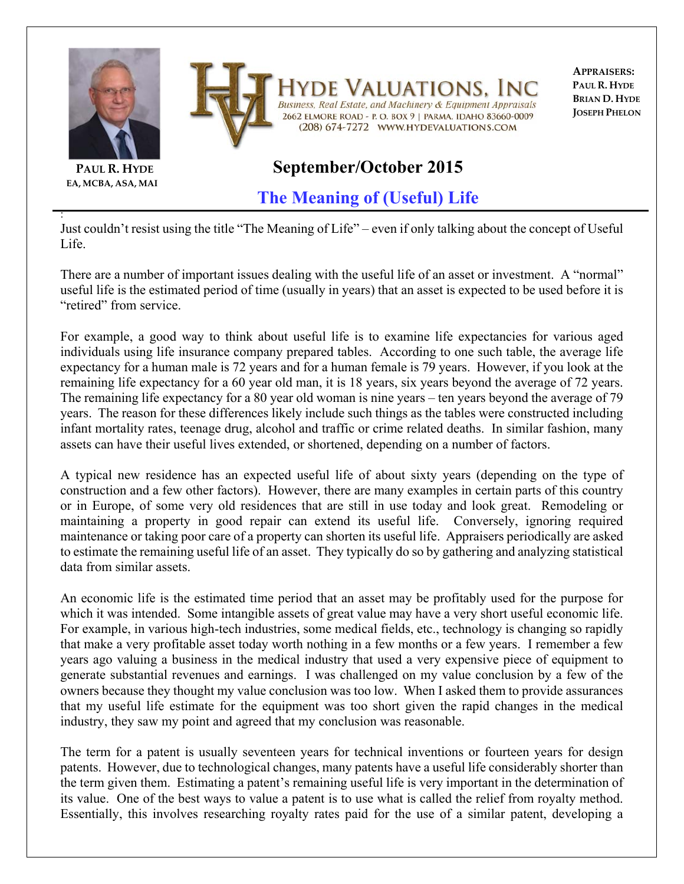



**PAUL R. HYDE EA, MCBA, ASA, MAI**

:

## VALUATIONS. Business, Real Estate, and Machinery & Equipment Appraisals 2662 ELMORE ROAD - P. O. BOX 9 | PARMA, IDAHO 83660-0009 (208) 674-7272 WWW.HYDEVALUATIONS.COM

**APPRAISERS: PAUL R. HYDE BRIAN D. HYDE JOSEPH PHELON**

## **September/October 2015**

**The Meaning of (Useful) Life**

Just couldn't resist using the title "The Meaning of Life" – even if only talking about the concept of Useful Life.

There are a number of important issues dealing with the useful life of an asset or investment. A "normal" useful life is the estimated period of time (usually in years) that an asset is expected to be used before it is "retired" from service.

For example, a good way to think about useful life is to examine life expectancies for various aged individuals using life insurance company prepared tables. According to one such table, the average life expectancy for a human male is 72 years and for a human female is 79 years. However, if you look at the remaining life expectancy for a 60 year old man, it is 18 years, six years beyond the average of 72 years. The remaining life expectancy for a 80 year old woman is nine years – ten years beyond the average of 79 years. The reason for these differences likely include such things as the tables were constructed including infant mortality rates, teenage drug, alcohol and traffic or crime related deaths. In similar fashion, many assets can have their useful lives extended, or shortened, depending on a number of factors.

A typical new residence has an expected useful life of about sixty years (depending on the type of construction and a few other factors). However, there are many examples in certain parts of this country or in Europe, of some very old residences that are still in use today and look great. Remodeling or maintaining a property in good repair can extend its useful life. Conversely, ignoring required maintenance or taking poor care of a property can shorten its useful life. Appraisers periodically are asked to estimate the remaining useful life of an asset. They typically do so by gathering and analyzing statistical data from similar assets.

An economic life is the estimated time period that an asset may be profitably used for the purpose for which it was intended. Some intangible assets of great value may have a very short useful economic life. For example, in various high-tech industries, some medical fields, etc., technology is changing so rapidly that make a very profitable asset today worth nothing in a few months or a few years. I remember a few years ago valuing a business in the medical industry that used a very expensive piece of equipment to generate substantial revenues and earnings. I was challenged on my value conclusion by a few of the owners because they thought my value conclusion was too low. When I asked them to provide assurances that my useful life estimate for the equipment was too short given the rapid changes in the medical industry, they saw my point and agreed that my conclusion was reasonable.

The term for a patent is usually seventeen years for technical inventions or fourteen years for design patents. However, due to technological changes, many patents have a useful life considerably shorter than the term given them. Estimating a patent's remaining useful life is very important in the determination of its value. One of the best ways to value a patent is to use what is called the relief from royalty method. Essentially, this involves researching royalty rates paid for the use of a similar patent, developing a